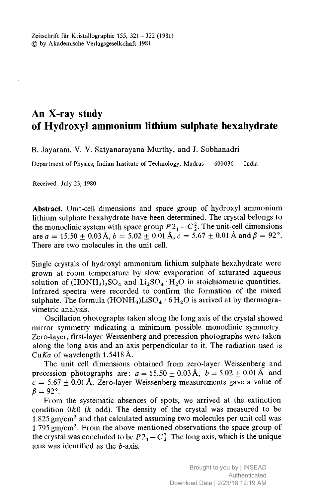## An X-ray study of Hydroxyl ammonium lithium sulphate hexahydrate

B. Jayaram, V. V. Satyanarayana Murthy, and J. Sobhanadri

Department of Physics, Indian Institute of Technology, Madras – 600 036 – India

Received: July 23, 1980

Abstract. Unit-cell dimensions and space group of hydroxyl ammonium lithium sulphate hexahydrate have been determined. The crystal belongs to the monoclinic system with space group  $P_1^2 - C_2^2$ . The unit-cell dimensions are  $a = 15.50 \pm 0.03$  Å,  $b = 5.02 \pm 0.01$  Å,  $c = 5.67 \pm 0.01$  Å and  $\beta = 92^{\circ}$ . There are two molecules in the unit cell.

Single crystals of hydroxyl ammonium lithium sulphate hexahydrate were grown at room temperature by slow evaporation of saturated aqueous solution of  $(HONH<sub>3</sub>)<sub>2</sub>SO<sub>4</sub>$  and  $Li<sub>2</sub>SO<sub>4</sub> \cdot H<sub>2</sub>O$  in stoichiometric quantities. Infrared spectra were recorded to confirm the formation of the mixed sulphate. The formula  $(HONH_3)LiSO_4 \cdot 6H_2O$  is arrived at by thermogravimetric analysis.

Oscillation photographs taken along the long axis of the crystal showed mirror symmetry indicating <sup>a</sup> minimum possible monoclinic symmetry. Zero-layer, first-layer Weissenberg and precession photographs were taken along the long axis and an axis perpendicular to it. The radiation used is CuK $\alpha$  of wavelength 1.5418 Å.

The unit cell dimensions obtained from zero-layer Weissenberg and precession photographs are:  $a = 15.50 \pm 0.03$  Å,  $b = 5.02 \pm 0.01$  Å and  $c = 5.67 \pm 0.01$  Å. Zero-layer Weissenberg measurements gave a value of  $\beta = 92^\circ$ .

From the systematic absences of spots, we arrived at the extinction condition  $0k0$  (k odd). The density of the crystal was measured to be 1.825  $\text{gm/cm}^3$  and that calculated assuming two molecules per unit cell was  $1.795 \text{ gm/cm}^3$ . From the above mentioned observations the space group of the crystal was concluded to be  $P2_1 - C_2^2$ . The long axis, which is the unique axis was identified as the  $b$ -axis.